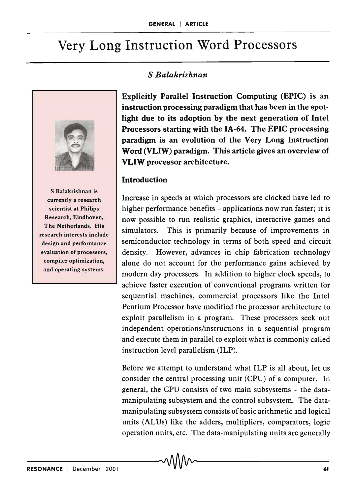# Very Long Instruction Word Processors

## S *Balakrishnan*



S Balakrishnan is currently a research scientist at Philips Research, Eindhoven, The Netherlands. His research interests include design and performance evaluation of processors, compiler optimization, and operating systems.

Explicitly Parallel Instruction Computing (EPIC) is an instruction processing paradigm that has been in the spotlight due to its adoption by the next generation of Intel Processors starting with the IA-64. The EPIC processing paradigm is an evolution of the Very Long Instruction Word (VLIW) paradigm. This article gives an overview of VLIW processor architecture.

### **Introduction**

Increase in speeds at which processors are clocked have led to higher performance benefits – applications now run faster; it is now possible to run realistic graphics, interactive games and simulators. This is primarily because of improvements in semiconductor technology in terms of both speed and circuit density. However, advances in chip fabrication technology alone do not account for the performance gains achieved by modern day processors. In addition to higher clock speeds, to achieve faster execution of conventional programs written for sequential machines, commercial processors like the Intel Pentium Processor have modified the processor architecture to exploit parallelism in a program. These processors seek out independent operations/instructions in a sequential program and execute them in parallel to exploit what is commonly called instruction level parallelism (ILP).

Before we attempt to understand what ILP is all about, let us consider the central processing unit (CPU) of a computer. In general, the CPU consists of two main subsystems - the datamanipulating subsystem and the control subsystem. The datamanipulating subsystem consists of basic arithmetic and logical units (ALUs) like the adders, multipliers, comparators, logic operation units, etc. The data-manipulating units are generally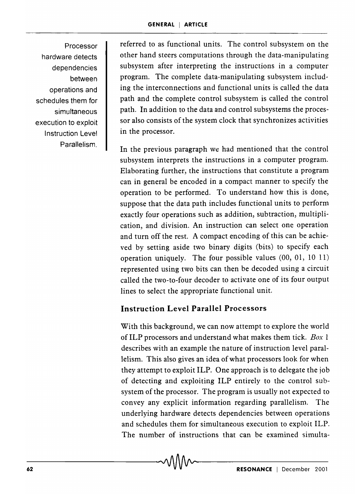Processor hardware detects dependencies between operations and schedules them for simultaneous execution to exploit Instruction Level Parallelism.

referred to as functional units. The control subsystem on the other hand steers computations through the data-manipulating subsystem after interpreting the instructions in a computer program. The complete data-manipulating subsystem including the interconnections and functional units is called the data path and the complete control subsystem is called the control path. In addition to the data and control subsystems the processor also consists of the system clock that synchronizes activities in the processor.

In the previous paragraph we had mentioned that the control subsystem interprets the instructions in a computer program. Elaborating further, the instructions that constitute a program can in general be encoded in a compact manner to specify the operation to be performed. To understand how this is done, suppose that the data path includes functional units to perform exactly four operations such as addition, subtraction, multiplication, and division. An instruction can select one operation and turn off the rest. A compact encoding of this can be achieved by setting aside two binary digits (bits) to specify each operation uniquely. The four possible values (00, 01, 10 11) represented using two bits can then be decoded using a circuit called the two-to-four decoder to activate one of its four output lines to select the appropriate functional unit.

## Instruction Level Parallel Processors

With this background, we can now attempt to explore the world of ILP processors and understand what makes them tick. *Box* 1 describes with an example the nature of instruction level parallelism. This also gives an idea of what processors look for when they attempt to exploit ILP. One approach is to delegate the job of detecting and exploiting ILP entirely to the control subsystem of the processor. The program is usually not expected to convey any explicit information regarding parallelism. The underlying hardware detects dependencies between operations and schedules them for simultaneous execution to exploit ILP. The number of instructions that can be examined simulta-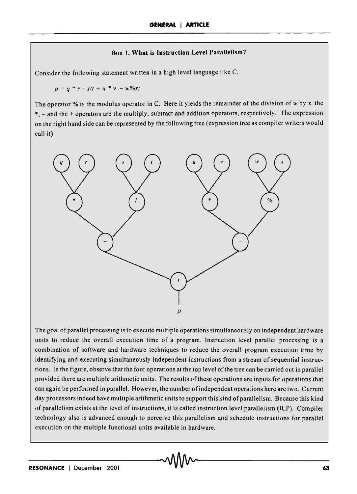### Box 1. What is Instruction Level Parallelism?

Consider the following statement written in a high level language like C.

 $p = q * r - s/t + u * v - w\%x;$ 

The operator % is the modulus operator in C. Here it yields the remainder of the division of w by *x.* the  $*$ ,  $-$  and the  $+$  operators are the multiply, subtract and addition operators, respectively. The expression on the right hand side can be represented by the following tree (expression tree as compiler writers would call it).



The goal of parallel processing is to execute multiple operations simultaneously on independent hardware units to reduce the overall execution time of a program. Instruction level parallel processing is a combination of software and hardware techniques to reduce the overall program execution time by identifying and executing simultaneously independent instructions from a stream of sequential instructions. In the figure, observe that the four operations at the top level of the tree can be carried out in parallel provided there are multiple arithmetic units. The results of these operations are inputs for operations that can again be performed in parallel. However, the number of independent operations here are two. Current day processors indeed have multiple arithmetic units to support this kind of parallelism. Because this kind of parallelism exists at the level of instructions, it is called instruction level parallelism (ILP). Compiler technology also is advanced enough to perceive this parallelism and schedule instructions for parallel execution on the multiple functional units available in hardware.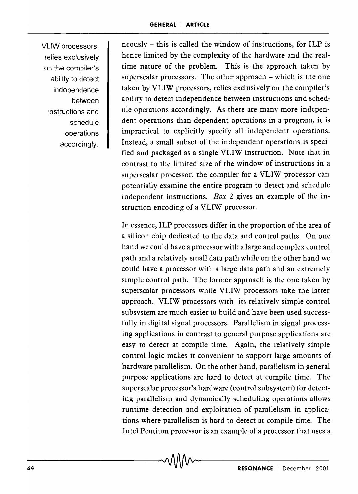VLlW processors, relies exclusively on the compiler's ability to detect independence between instructions and schedule operations accordingly.

neously - this is called the window of instructions, for ILP is hence limited by the complexity of the hardware and the realtime nature of the problem. This is the approach taken by superscalar processors. The other approach  $-$  which is the one taken by VLIW processors, relies exclusively on the compiler's ability to detect independence between instructions and schedule operations accordingly. As there are many more independent operations than dependent operations in a program, it is impractical to explicitly specify all independent operations. Instead, a small subset of the independent operations is specified and packaged as a single VLIW instruction. Note that in contrast to the limited size of the window of instructions in a superscalar processor, the compiler for a VLIW processor can potentially examine the entire program to detect and schedule independent instructions. *Box* 2 gives an example of the instruction encoding of a VLIW processor.

In essence, ILP processors differ in the proportion of the area of a silicon chip dedicated to the data and control paths. On one hand we could have a processor with a large and complex control path and a relatively small data path while on the other hand we could have a processor with a large data path and an extremely simple control path. The former approach is the one taken by superscalar processors while VLIW processors take the latter approach. VLIW processors with its relatively simple control subsystem are much easier to build and have been used successfully in digital signal processors. Parallelism in signal processing applications in contrast to general purpose applications are easy to detect at compile time. Again, the relatively simple control logic makes it convenient to support large amounts of hardware parallelism. On the other hand, parallelism in general purpose applications are hard to detect at compile time. The superscalar processor's hardware (control subsystem) for detecting parallelism and dynamically scheduling operations allows runtime detection and exploitation of parallelism in applications where parallelism is hard to detect at compile time. The Intel Pentium processor is an example of a processor that uses a

-64-------------------------------~~-----------------------------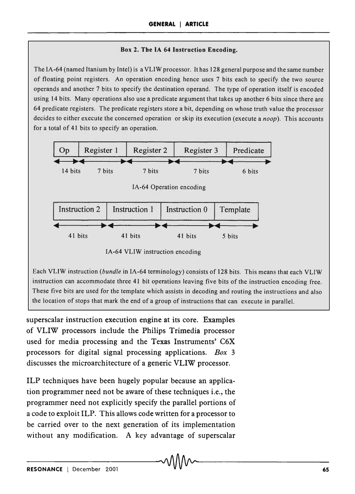### Box 2. The IA 64 Instruction Encoding.

The IA-64 (named Itanium by Intel) is a VLIW processor. It has 128 general purpose and the same number of floating point registers. An operation encoding hence uses 7 bits each to specify the two source operands and another 7 bits to specify the destination operand. The type of operation itself is encoded using 14 bits. Many operations also use a predicate argument that takes up another 6 bits since there are 64 predicate registers. The predicate registers store a bit, depending on whose truth value the processor decides to either execute the concerned operation or skip its execution (execute a *noop).* This accounts for a total of 41 bits to specify an operation.



Each VLIW instruction *(bundle* in IA-64 terminology) consists of 128 bits. This means that each VLIW instruction can accommodate three 41 bit operations leaving five bits of the instruction encoding free. These five bits are used for the template which assists in decoding and routing the instructions and also the location of stops that mark the end of a group of instructions that can execute in parallel.

superscalar instruction execution engine at its core. Examples of VLIW processors include the Philips Trimedia processor used for media processing and the Texas Instruments' C6X processors for digital signal processing applications. *Box 3*  discusses the microarchitecture of a generic VLIW processor.

ILP techniques have been hugely popular because an application programmer need not be aware of these techniques i.e., the programmer need not explicitly specify the parallel portions of a code to exploit ILP. This allows code written for a processor to be carried over to the next generation of its implementation without any modification. A key advantage of superscalar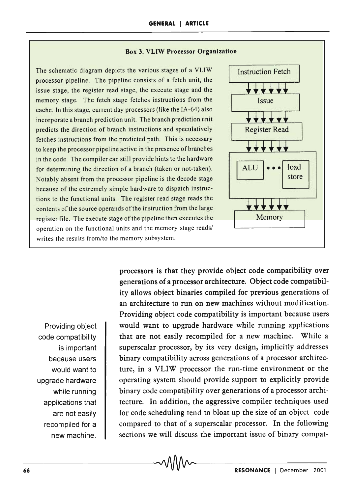#### Box 3. VLIW Processor Organization

The schematic diagram depicts the various stages of a VLIW processor pipeline. The pipeline consists of a fetch unit, the issue stage, the register read stage, the execute stage and the memory stage. The fetch stage fetches instructions from the cache. In this stage, current day processors (like the IA-64) also incorporate a branch prediction unit. The branch prediction unit predicts the direction of branch instructions and speculatively fetches instructions from the predicted path. This is necessary to keep the processor pipeline active in the presence of branches in the code. The compiler can still provide hints to the hardware for determining the direction of a branch (taken or not-taken). Notably absent from the processor pipeline is the decode stage because of the extremely simple hardware to dispatch instructions to the functional units. The register read stage reads the contents of the source operands of the instruction from the large register file. The execute stage of the pipeline then executes the operation on the functional units and the memory stage reads/ writes the results from/to the memory subsystem.



Providing object code compatibility is important because users would want to upgrade hardware while running applications that are not easily recompiled for a new machine.

processors is that they provide object code compatibility over generations of a processor architecture. Object code compatibility allows object binaries compiled for previous generations of an architecture to run on new machines without modification. Providing object code compatibility is important because users would want to upgrade hardware while running applications that are not easily recompiled for a new machine. While a superscalar processor, by its very design, implicitly addresses binary compatibility across generations of a processor architecture, in a VLIW processor the run-time environment or the operating system should provide support to explicitly provide binary code compatibility over generations of a processor architecture. In addition, the aggressive compiler techniques used for code scheduling tend to bloat up the size of an object code compared to that of a superscalar processor. In the following sections we will discuss the important issue of binary compat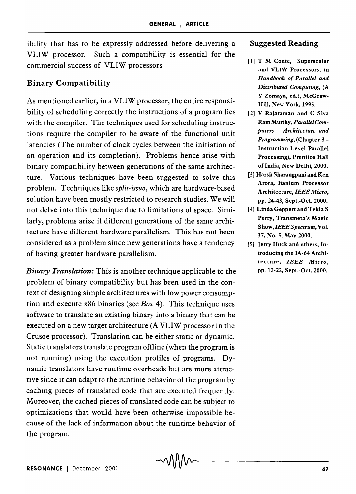ibility that has to be expressly addressed before delivering a VLIW processor. Such a compatibility is essential for the commercial success of VLIW processors.

# Binary Compatibility

As mentioned earlier, in a VLIW processor, the entire responsibility of scheduling correctly the instructions of a program lies with the compiler. The techniques used for scheduling instructions require the compiler to be aware of the functional unit latencies (The number of clock cycles between the initiation of an operation and its completion). Problems hence arise with binary compatibility between generations of the same architecture. Various techniques have been suggested to solve this problem. Techniques like *split-issue,* which are hardware-based solution have been mostly restricted to research studies. We will not delve into this technique due to limitations of space. Similarly, problems arise if different generations of the same architecture have different hardware parallelism. This has not been considered as a problem since new generations have a tendency of having greater hardware parallelism.

*Binary Translation:* This is another technique applicable to the problem of binary compatibility but has been used in the context of designing simple architectures with low power consumption and execute x86 binaries (see *Box* 4). This technique uses software to translate an existing binary into a binary that can be executed on a new target architecture (A VLIW processor in the Crusoe processor). Translation can be either static or dynamic. Static translators translate program offline (when the program is not running) using the execution profiles of programs. Dynamic translators have runtime overheads but are more attractive since it can adapt to the runtime behavior of the program by caching pieces of translated code that are executed frequently. Moreover, the cached pieces of translated code can be subject to optimizations that would have been otherwise impossible because of the lack of information about the runtime behavior of the program.

### Suggested Reading

- [1] T M Conte, Superscalar and VLIW Processors, in *Handbook of Parallel and Distributed Computing,* (A Y Zomaya, ed.), McGraw-Hill, New York, 1995.
- [2] V Rajaraman and C Siva Ram Murthy, *Parallel Computers Architecture and Programming,* (Chapter 3- Instruction Level Parallel Processing), Prentice Hall of India, New Delhi, 2000.
- [3] Harsh Sharangpani and Ken Arora, Itanium Processor Architecture, *IEEE Micro,*  pp. 24-43, Sept.-Oct. 2000.
- [4] Linda Geppert and Tekla S Perry, Transmeta's Magic *Show,IEEE Spectrum,* Vol. 37, No.5, May 2000.
- [5] Jerry Huck and others, Introducing the IA-64 Architecture, *IEEE Micro,*  pp. 12-22, Sept.-Oct. 2000.